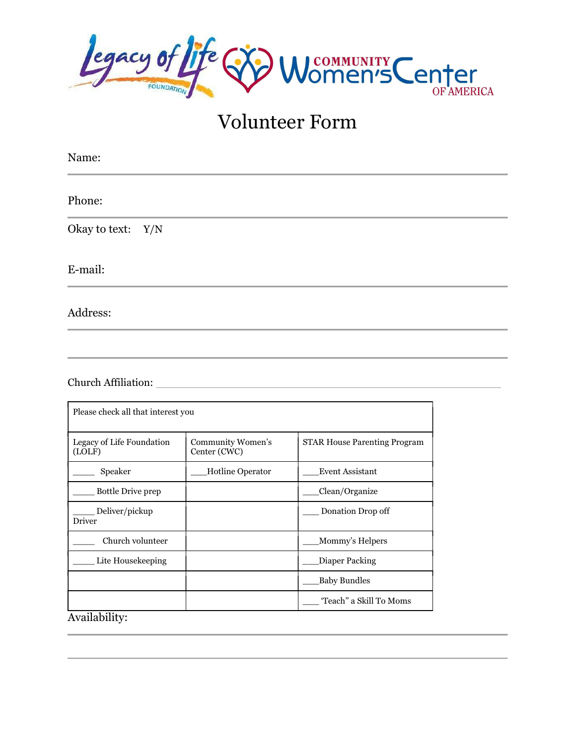

# Volunteer Form

| Name:             |
|-------------------|
| Phone:            |
| Okay to text: Y/N |
| E-mail:           |
| Address:          |

Church Affiliation: \_\_\_\_\_\_\_\_\_\_\_\_\_\_\_\_\_\_\_\_\_\_\_\_\_\_\_\_\_\_\_\_\_\_\_\_\_\_\_\_\_\_\_\_\_\_\_\_\_\_\_\_\_\_\_\_\_\_\_\_

| Please check all that interest you  |                                   |                                     |  |
|-------------------------------------|-----------------------------------|-------------------------------------|--|
| Legacy of Life Foundation<br>(LOLF) | Community Women's<br>Center (CWC) | <b>STAR House Parenting Program</b> |  |
| Speaker                             | <b>Hotline Operator</b>           | <b>Event Assistant</b>              |  |
| <b>Bottle Drive prep</b>            |                                   | Clean/Organize                      |  |
| Deliver/pickup<br>Driver            |                                   | Donation Drop off                   |  |
| Church volunteer                    |                                   | Mommy's Helpers                     |  |
| Lite Housekeeping                   |                                   | Diaper Packing                      |  |
|                                     |                                   | <b>Baby Bundles</b>                 |  |
|                                     |                                   | 'Teach" a Skill To Moms             |  |
| Availability:                       |                                   |                                     |  |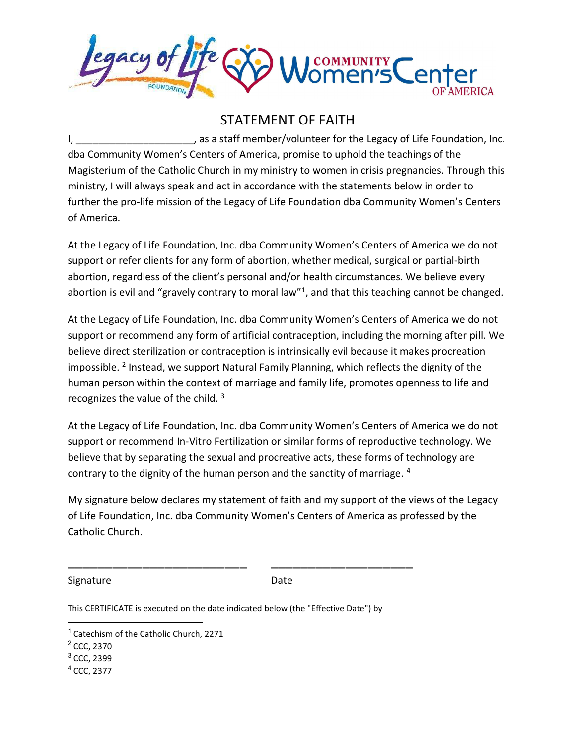

### STATEMENT OF FAITH

I, the same of the staff member/volunteer for the Legacy of Life Foundation, Inc. dba Community Women's Centers of America, promise to uphold the teachings of the Magisterium of the Catholic Church in my ministry to women in crisis pregnancies. Through this ministry, I will always speak and act in accordance with the statements below in order to further the pro-life mission of the Legacy of Life Foundation dba Community Women's Centers of America.

At the Legacy of Life Foundation, Inc. dba Community Women's Centers of America we do not support or refer clients for any form of abortion, whether medical, surgical or partial-birth abortion, regardless of the client's personal and/or health circumstances. We believe every abortion is evil and "gravely contrary to moral law"<sup>1</sup>, and that this teaching cannot be changed.

At the Legacy of Life Foundation, Inc. dba Community Women's Centers of America we do not support or recommend any form of artificial contraception, including the morning after pill. We believe direct sterilization or contraception is intrinsically evil because it makes procreation impossible. <sup>2</sup> Instead, we support Natural Family Planning, which reflects the dignity of the human person within the context of marriage and family life, promotes openness to life and recognizes the value of the child. <sup>3</sup>

At the Legacy of Life Foundation, Inc. dba Community Women's Centers of America we do not support or recommend In-Vitro Fertilization or similar forms of reproductive technology. We believe that by separating the sexual and procreative acts, these forms of technology are contrary to the dignity of the human person and the sanctity of marriage. <sup>4</sup>

My signature below declares my statement of faith and my support of the views of the Legacy of Life Foundation, Inc. dba Community Women's Centers of America as professed by the Catholic Church.

Signature Date

This CERTIFICATE is executed on the date indicated below (the "Effective Date") by

\_\_\_\_\_\_\_\_\_\_\_\_\_\_\_\_\_\_\_\_\_\_\_\_ \_\_\_\_\_\_\_\_\_\_\_\_\_\_\_\_\_\_\_

4 CCC, 2377

<sup>&</sup>lt;sup>1</sup> Catechism of the Catholic Church, 2271

<sup>&</sup>lt;sup>2</sup> CCC, 2370

<sup>&</sup>lt;sup>3</sup> CCC, 2399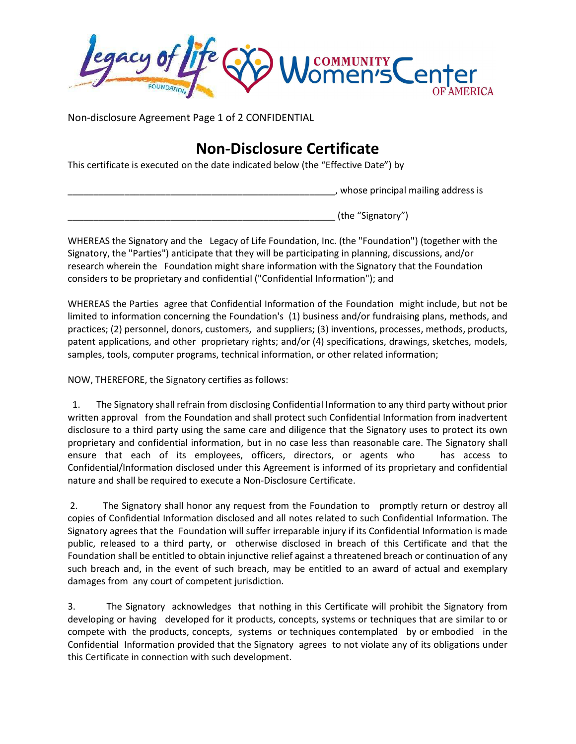COMMUNITY Center

Non-disclosure Agreement Page 1 of 2 CONFIDENTIAL

### Non-Disclosure Certificate

This certificate is executed on the date indicated below (the "Effective Date") by

\_\_\_\_\_\_\_\_\_\_\_\_\_\_\_\_\_\_\_\_\_\_\_\_\_\_\_\_\_\_\_\_\_\_\_\_\_\_\_\_\_\_\_\_\_\_\_\_\_\_\_\_, whose principal mailing address is

(the "Signatory")

WHEREAS the Signatory and the Legacy of Life Foundation, Inc. (the "Foundation") (together with the Signatory, the "Parties") anticipate that they will be participating in planning, discussions, and/or research wherein the Foundation might share information with the Signatory that the Foundation considers to be proprietary and confidential ("Confidential Information"); and

WHEREAS the Parties agree that Confidential Information of the Foundation might include, but not be limited to information concerning the Foundation's (1) business and/or fundraising plans, methods, and practices; (2) personnel, donors, customers, and suppliers; (3) inventions, processes, methods, products, patent applications, and other proprietary rights; and/or (4) specifications, drawings, sketches, models, samples, tools, computer programs, technical information, or other related information;

NOW, THEREFORE, the Signatory certifies as follows:

 1. The Signatory shall refrain from disclosing Confidential Information to any third party without prior written approval from the Foundation and shall protect such Confidential Information from inadvertent disclosure to a third party using the same care and diligence that the Signatory uses to protect its own proprietary and confidential information, but in no case less than reasonable care. The Signatory shall ensure that each of its employees, officers, directors, or agents who has access to Confidential/Information disclosed under this Agreement is informed of its proprietary and confidential nature and shall be required to execute a Non-Disclosure Certificate.

 2. The Signatory shall honor any request from the Foundation to promptly return or destroy all copies of Confidential Information disclosed and all notes related to such Confidential Information. The Signatory agrees that the Foundation will suffer irreparable injury if its Confidential Information is made public, released to a third party, or otherwise disclosed in breach of this Certificate and that the Foundation shall be entitled to obtain injunctive relief against a threatened breach or continuation of any such breach and, in the event of such breach, may be entitled to an award of actual and exemplary damages from any court of competent jurisdiction.

3. The Signatory acknowledges that nothing in this Certificate will prohibit the Signatory from developing or having developed for it products, concepts, systems or techniques that are similar to or compete with the products, concepts, systems or techniques contemplated by or embodied in the Confidential Information provided that the Signatory agrees to not violate any of its obligations under this Certificate in connection with such development.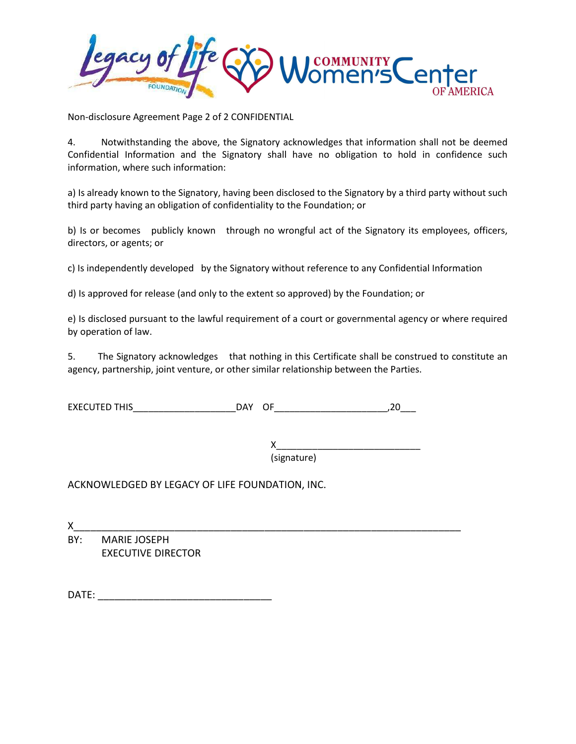**JCOMMUNITY** Center

Non-disclosure Agreement Page 2 of 2 CONFIDENTIAL

4. Notwithstanding the above, the Signatory acknowledges that information shall not be deemed Confidential Information and the Signatory shall have no obligation to hold in confidence such information, where such information:

a) Is already known to the Signatory, having been disclosed to the Signatory by a third party without such third party having an obligation of confidentiality to the Foundation; or

b) Is or becomes publicly known through no wrongful act of the Signatory its employees, officers, directors, or agents; or

c) Is independently developed by the Signatory without reference to any Confidential Information

d) Is approved for release (and only to the extent so approved) by the Foundation; or

e) Is disclosed pursuant to the lawful requirement of a court or governmental agency or where required by operation of law.

5. The Signatory acknowledges that nothing in this Certificate shall be construed to constitute an agency, partnership, joint venture, or other similar relationship between the Parties.

EXECUTED THIS\_\_\_\_\_\_\_\_\_\_\_\_\_\_\_\_\_\_\_\_DAY OF\_\_\_\_\_\_\_\_\_\_\_\_\_\_\_\_\_\_\_\_\_\_,20\_\_\_

 X\_\_\_\_\_\_\_\_\_\_\_\_\_\_\_\_\_\_\_\_\_\_\_\_\_\_\_\_ (signature)

ACKNOWLEDGED BY LEGACY OF LIFE FOUNDATION, INC.

X\_\_\_\_\_\_\_\_\_\_\_\_\_\_\_\_\_\_\_\_\_\_\_\_\_\_\_\_\_\_\_\_\_\_\_\_\_\_\_\_\_\_\_\_\_\_\_\_\_\_\_\_\_\_\_\_\_\_\_\_\_\_\_\_\_\_\_\_\_ BY: MARIE JOSEPH EXECUTIVE DIRECTOR

DATE: \_\_\_\_\_\_\_\_\_\_\_\_\_\_\_\_\_\_\_\_\_\_\_\_\_\_\_\_\_\_\_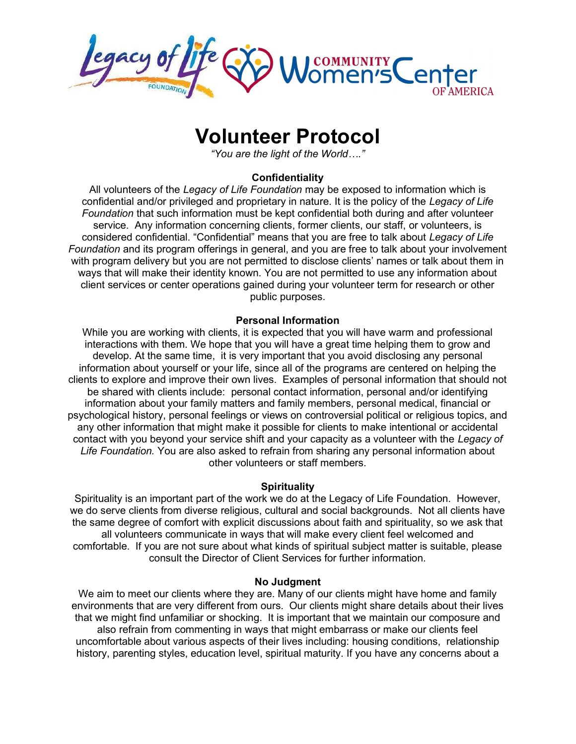

## Volunteer Protocol

"You are the light of the World…."

#### Confidentiality

All volunteers of the Legacy of Life Foundation may be exposed to information which is confidential and/or privileged and proprietary in nature. It is the policy of the Legacy of Life Foundation that such information must be kept confidential both during and after volunteer service. Any information concerning clients, former clients, our staff, or volunteers, is considered confidential. "Confidential" means that you are free to talk about Legacy of Life Foundation and its program offerings in general, and you are free to talk about your involvement with program delivery but you are not permitted to disclose clients' names or talk about them in ways that will make their identity known. You are not permitted to use any information about client services or center operations gained during your volunteer term for research or other public purposes.

#### Personal Information

While you are working with clients, it is expected that you will have warm and professional interactions with them. We hope that you will have a great time helping them to grow and develop. At the same time, it is very important that you avoid disclosing any personal information about yourself or your life, since all of the programs are centered on helping the clients to explore and improve their own lives. Examples of personal information that should not be shared with clients include: personal contact information, personal and/or identifying information about your family matters and family members, personal medical, financial or psychological history, personal feelings or views on controversial political or religious topics, and any other information that might make it possible for clients to make intentional or accidental contact with you beyond your service shift and your capacity as a volunteer with the Legacy of Life Foundation. You are also asked to refrain from sharing any personal information about other volunteers or staff members.

#### **Spirituality**

Spirituality is an important part of the work we do at the Legacy of Life Foundation. However, we do serve clients from diverse religious, cultural and social backgrounds. Not all clients have the same degree of comfort with explicit discussions about faith and spirituality, so we ask that all volunteers communicate in ways that will make every client feel welcomed and comfortable. If you are not sure about what kinds of spiritual subject matter is suitable, please consult the Director of Client Services for further information.

#### No Judgment

We aim to meet our clients where they are. Many of our clients might have home and family environments that are very different from ours. Our clients might share details about their lives that we might find unfamiliar or shocking. It is important that we maintain our composure and also refrain from commenting in ways that might embarrass or make our clients feel uncomfortable about various aspects of their lives including: housing conditions, relationship history, parenting styles, education level, spiritual maturity. If you have any concerns about a